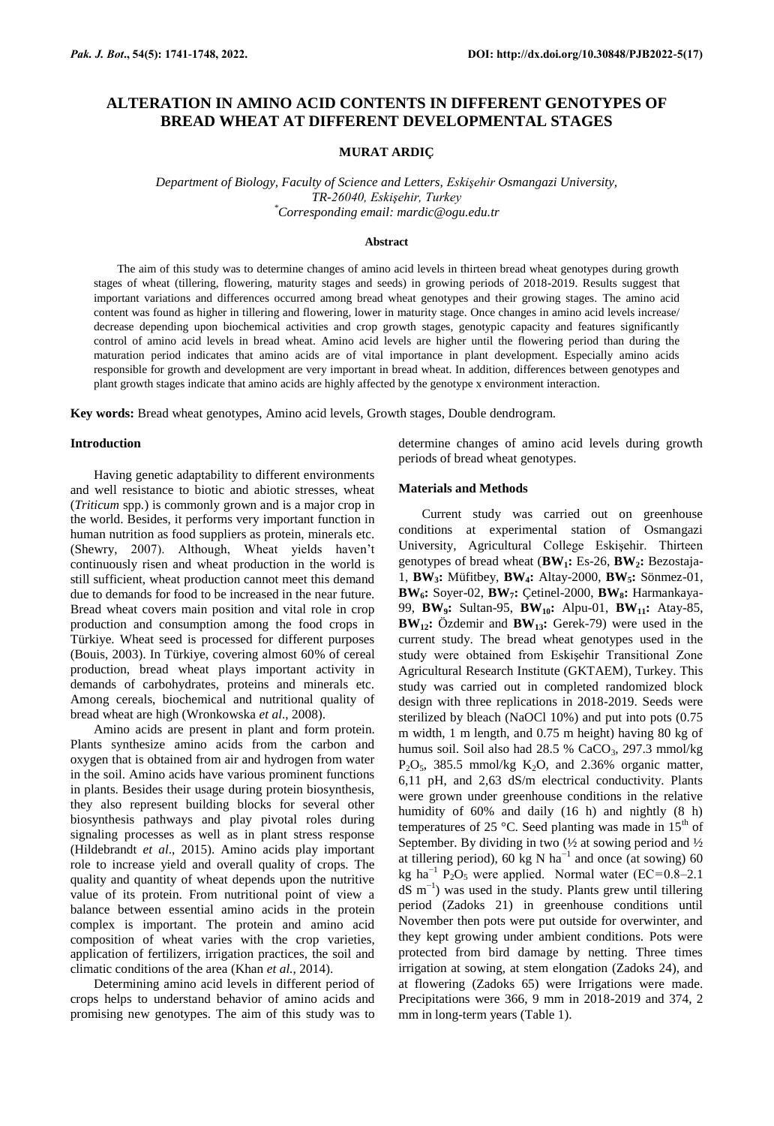# **ALTERATION IN AMINO ACID CONTENTS IN DIFFERENT GENOTYPES OF BREAD WHEAT AT DIFFERENT DEVELOPMENTAL STAGES**

## **MURAT ARDIÇ**

*Department of Biology, Faculty of Science and Letters, Eskişehir Osmangazi University, TR-26040, Eskişehir, Turkey \*Corresponding email: mardic@ogu.edu.tr*

#### **Abstract**

The aim of this study was to determine changes of amino acid levels in thirteen bread wheat genotypes during growth stages of wheat (tillering, flowering, maturity stages and seeds) in growing periods of 2018-2019. Results suggest that important variations and differences occurred among bread wheat genotypes and their growing stages. The amino acid content was found as higher in tillering and flowering, lower in maturity stage. Once changes in amino acid levels increase/ decrease depending upon biochemical activities and crop growth stages, genotypic capacity and features significantly control of amino acid levels in bread wheat. Amino acid levels are higher until the flowering period than during the maturation period indicates that amino acids are of vital importance in plant development. Especially amino acids responsible for growth and development are very important in bread wheat. In addition, differences between genotypes and plant growth stages indicate that amino acids are highly affected by the genotype x environment interaction.

**Key words:** Bread wheat genotypes, Amino acid levels, Growth stages, Double dendrogram.

#### **Introduction**

Having genetic adaptability to different environments and well resistance to biotic and abiotic stresses, wheat (*Triticum* spp*.*) is commonly grown and is a major crop in the world. Besides, it performs very important function in human nutrition as food suppliers as protein, minerals etc. (Shewry, 2007). Although, Wheat yields haven't continuously risen and wheat production in the world is still sufficient, wheat production cannot meet this demand due to demands for food to be increased in the near future. Bread wheat covers main position and vital role in crop production and consumption among the food crops in Türkiye. Wheat seed is processed for different purposes (Bouis, 2003). In Türkiye, covering almost 60% of cereal production, bread wheat plays important activity in demands of carbohydrates, proteins and minerals etc. Among cereals, biochemical and nutritional quality of bread wheat are high (Wronkowska *et al*., 2008).

Amino acids are present in plant and form protein. Plants synthesize amino acids from the carbon and oxygen that is obtained from air and hydrogen from water in the soil. Amino acids have various prominent functions in plants. Besides their usage during protein biosynthesis, they also represent building blocks for several other biosynthesis pathways and play pivotal roles during signaling processes as well as in plant stress response (Hildebrandt *et al*., 2015). Amino acids play important role to increase yield and overall quality of crops. The quality and quantity of wheat depends upon the nutritive value of its protein. From nutritional point of view a balance between essential amino acids in the protein complex is important. The protein and amino acid composition of wheat varies with the crop varieties, application of fertilizers, irrigation practices, the soil and climatic conditions of the area (Khan *et al.*, 2014).

Determining amino acid levels in different period of crops helps to understand behavior of amino acids and promising new genotypes. The aim of this study was to determine changes of amino acid levels during growth periods of bread wheat genotypes.

### **Materials and Methods**

Current study was carried out on greenhouse conditions at experimental station of Osmangazi University, Agricultural College Eskişehir. Thirteen genotypes of bread wheat (**BW1:** Es-26, **BW2:** Bezostaja-1, **BW3:** Müfitbey, **BW4:** Altay-2000, **BW5:** Sönmez-01, **BW6:** Soyer-02, **BW7:** Çetinel-2000, **BW8:** Harmankaya-99, **BW9:** Sultan-95, **BW10:** Alpu-01, **BW11:** Atay-85, **BW12:** Özdemir and **BW13:** Gerek-79) were used in the current study. The bread wheat genotypes used in the study were obtained from Eskişehir Transitional Zone Agricultural Research Institute (GKTAEM), Turkey. This study was carried out in completed randomized block design with three replications in 2018-2019. Seeds were sterilized by bleach (NaOCl 10%) and put into pots  $(0.75)$ m width, 1 m length, and 0.75 m height) having 80 kg of humus soil. Soil also had  $28.5 %$  CaCO<sub>3</sub>, 297.3 mmol/kg  $P_2O_5$ , 385.5 mmol/kg  $K_2O$ , and 2.36% organic matter, 6,11 pH, and 2,63 dS/m electrical conductivity. Plants were grown under greenhouse conditions in the relative humidity of 60% and daily (16 h) and nightly (8 h) temperatures of 25  $\degree$ C. Seed planting was made in 15<sup>th</sup> of September. By dividing in two  $\frac{1}{2}$  at sowing period and  $\frac{1}{2}$ at tillering period), 60 kg N ha<sup>-1</sup> and once (at sowing) 60 kg ha<sup>-1</sup> P<sub>2</sub>O<sub>5</sub> were applied. Normal water (EC=0.8–2.1  $dS$  m<sup>-1</sup>) was used in the study. Plants grew until tillering period (Zadoks 21) in greenhouse conditions until November then pots were put outside for overwinter, and they kept growing under ambient conditions. Pots were protected from bird damage by netting. Three times irrigation at sowing, at stem elongation (Zadoks 24), and at flowering (Zadoks 65) were Irrigations were made. Precipitations were 366, 9 mm in 2018-2019 and 374, 2 mm in long-term years (Table 1).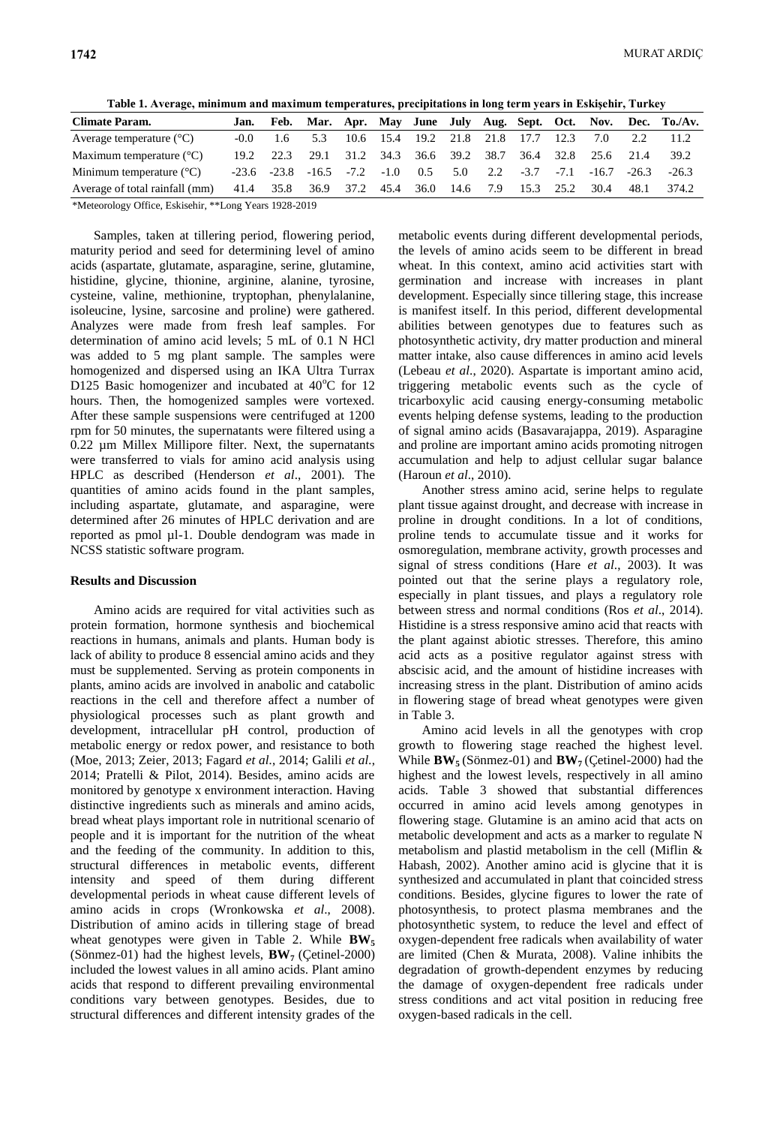**Table 1. Average, minimum and maximum temperatures, precipitations in long term years in Eskişehir, Turkey**

| <b>Climate Param.</b>             | Jan.   |                 |                               |        |        |                               |          |     |                                    |        |         |         | Feb. Mar. Apr. May June July Aug. Sept. Oct. Nov. Dec. To./Av. |
|-----------------------------------|--------|-----------------|-------------------------------|--------|--------|-------------------------------|----------|-----|------------------------------------|--------|---------|---------|----------------------------------------------------------------|
| Average temperature $(^{\circ}C)$ | $-0.0$ | 1.6             | 5.3                           |        |        | 10.6 15.4 19.2 21.8 21.8 17.7 |          |     |                                    | 12.3   | 7.0     | 22      | 11.2                                                           |
| Maximum temperature $(^{\circ}C)$ | 19.2   | 22.3            | 29.1                          |        |        |                               |          |     | 31.2 34.3 36.6 39.2 38.7 36.4 32.8 |        | 25.6    | 21.4    | 39.2                                                           |
| Minimum temperature $(^{\circ}C)$ |        | $-23.6$ $-23.8$ | $-16.5$                       | $-7.2$ | $-1.0$ | 0.5                           | 5.0      | 2.2 | $-3.7$                             | $-7.1$ | $-16.7$ | $-26.3$ | $-26.3$                                                        |
| Average of total rainfall (mm)    |        |                 | 41.4 35.8 36.9 37.2 45.4 36.0 |        |        |                               | 14.6 7.9 |     | 15.3                               | 25.2   | 30.4    | 48.1    | 374.2                                                          |
| ___________                       |        | ------------    |                               |        |        |                               |          |     |                                    |        |         |         |                                                                |

\*Meteorology Office, Eskisehir, \*\*Long Years 1928-2019

Samples, taken at tillering period, flowering period, maturity period and seed for determining level of amino acids (aspartate, glutamate, asparagine, serine, glutamine, histidine, glycine, thionine, arginine, alanine, tyrosine, cysteine, valine, methionine, tryptophan, phenylalanine, isoleucine, lysine, sarcosine and proline) were gathered. Analyzes were made from fresh leaf samples. For determination of amino acid levels; 5 mL of 0.1 N HCl was added to 5 mg plant sample. The samples were homogenized and dispersed using an IKA Ultra Turrax D125 Basic homogenizer and incubated at  $40^{\circ}$ C for 12 hours. Then, the homogenized samples were vortexed. After these sample suspensions were centrifuged at 1200 rpm for 50 minutes, the supernatants were filtered using a 0.22 µm Millex Millipore filter. Next, the supernatants were transferred to vials for amino acid analysis using HPLC as described (Henderson *et al*., 2001). The quantities of amino acids found in the plant samples, including aspartate, glutamate, and asparagine, were determined after 26 minutes of HPLC derivation and are reported as pmol µl-1. Double dendogram was made in NCSS statistic software program.

#### **Results and Discussion**

Amino acids are required for vital activities such as protein formation, hormone synthesis and biochemical reactions in humans, animals and plants. Human body is lack of ability to produce 8 essencial amino acids and they must be supplemented. Serving as protein components in plants, amino acids are involved in anabolic and catabolic reactions in the cell and therefore affect a number of physiological processes such as plant growth and development, intracellular pH control, production of metabolic energy or redox power, and resistance to both (Moe, 2013; Zeier, 2013; Fagard *et al.*, 2014; Galili *et al.*, 2014; Pratelli & Pilot, 2014). Besides, amino acids are monitored by genotype x environment interaction. Having distinctive ingredients such as minerals and amino acids, bread wheat plays important role in nutritional scenario of people and it is important for the nutrition of the wheat and the feeding of the community. In addition to this, structural differences in metabolic events, different intensity and speed of them during different developmental periods in wheat cause different levels of amino acids in crops (Wronkowska *et al*., 2008). Distribution of amino acids in tillering stage of bread wheat genotypes were given in Table 2. While  $BW_5$ (Sönmez-01) had the highest levels, **BW7** (Çetinel-2000) included the lowest values in all amino acids. Plant amino acids that respond to different prevailing environmental conditions vary between genotypes. Besides, due to structural differences and different intensity grades of the

metabolic events during different developmental periods, the levels of amino acids seem to be different in bread wheat. In this context, amino acid activities start with germination and increase with increases in plant development. Especially since tillering stage, this increase is manifest itself. In this period, different developmental abilities between genotypes due to features such as photosynthetic activity, dry matter production and mineral matter intake, also cause differences in amino acid levels (Lebeau *et al*., 2020). Aspartate is important amino acid, triggering metabolic events such as the cycle of tricarboxylic acid causing energy-consuming metabolic events helping defense systems, leading to the production of signal amino acids (Basavarajappa, 2019). Asparagine and proline are important amino acids promoting nitrogen accumulation and help to adjust cellular sugar balance (Haroun *et al*., 2010).

Another stress amino acid, serine helps to regulate plant tissue against drought, and decrease with increase in proline in drought conditions. In a lot of conditions, proline tends to accumulate tissue and it works for osmoregulation, membrane activity, growth processes and signal of stress conditions (Hare *et al*., 2003). It was pointed out that the serine plays a regulatory role, especially in plant tissues, and plays a regulatory role between stress and normal conditions (Ros *et al*., 2014). Histidine is a stress responsive amino acid that reacts with the plant against abiotic stresses. Therefore, this amino acid acts as a positive regulator against stress with abscisic acid, and the amount of histidine increases with increasing stress in the plant. Distribution of amino acids in flowering stage of bread wheat genotypes were given in Table 3.

Amino acid levels in all the genotypes with crop growth to flowering stage reached the highest level. While  $BW_5$  (Sönmez-01) and  $BW_7$  (Çetinel-2000) had the highest and the lowest levels, respectively in all amino acids. Table 3 showed that substantial differences occurred in amino acid levels among genotypes in flowering stage. Glutamine is an amino acid that acts on metabolic development and acts as a marker to regulate N metabolism and plastid metabolism in the cell (Miflin & Habash, 2002). Another amino acid is glycine that it is synthesized and accumulated in plant that coincided stress conditions. Besides, glycine figures to lower the rate of photosynthesis, to protect plasma membranes and the photosynthetic system, to reduce the level and effect of oxygen-dependent free radicals when availability of water are limited (Chen & Murata, 2008). Valine inhibits the degradation of growth-dependent enzymes by reducing the damage of oxygen-dependent free radicals under stress conditions and act vital position in reducing free oxygen-based radicals in the cell.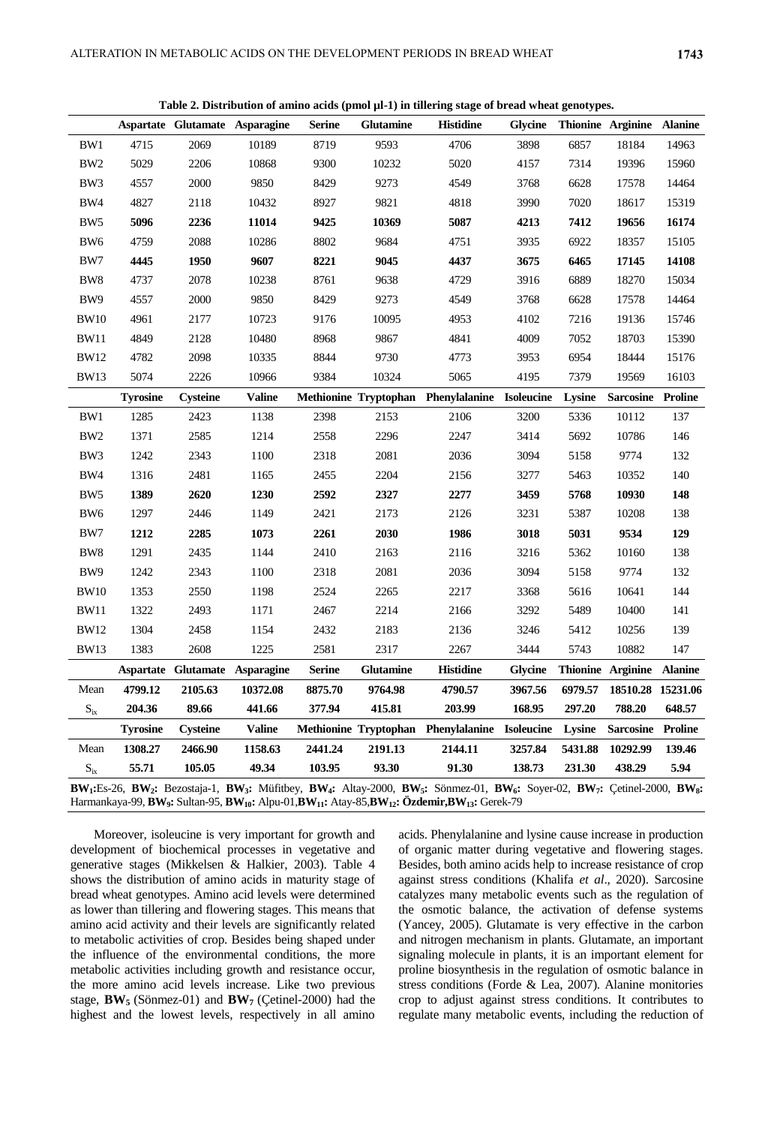| Table 2. Distribution of amino acids (pmol ul-1) in tillering stage of bread wheat genotypes. |                 |                 |                                |               |                  |                                                |                |               |                           |                |  |
|-----------------------------------------------------------------------------------------------|-----------------|-----------------|--------------------------------|---------------|------------------|------------------------------------------------|----------------|---------------|---------------------------|----------------|--|
|                                                                                               |                 |                 | Aspartate Glutamate Asparagine | <b>Serine</b> | <b>Glutamine</b> | <b>Histidine</b>                               | <b>Glycine</b> |               | Thionine Arginine Alanine |                |  |
| BW1                                                                                           | 4715            | 2069            | 10189                          | 8719          | 9593             | 4706                                           | 3898           | 6857          | 18184                     | 14963          |  |
| BW <sub>2</sub>                                                                               | 5029            | 2206            | 10868                          | 9300          | 10232            | 5020                                           | 4157           | 7314          | 19396                     | 15960          |  |
| BW3                                                                                           | 4557            | 2000            | 9850                           | 8429          | 9273             | 4549                                           | 3768           | 6628          | 17578                     | 14464          |  |
| BW4                                                                                           | 4827            | 2118            | 10432                          | 8927          | 9821             | 4818                                           | 3990           | 7020          | 18617                     | 15319          |  |
| BW <sub>5</sub>                                                                               | 5096            | 2236            | 11014                          | 9425          | 10369            | 5087                                           | 4213           | 7412          | 19656                     | 16174          |  |
| BW <sub>6</sub>                                                                               | 4759            | 2088            | 10286                          | 8802          | 9684             | 4751                                           | 3935           | 6922          | 18357                     | 15105          |  |
| BW7                                                                                           | 4445            | 1950            | 9607                           | 8221          | 9045             | 4437                                           | 3675           | 6465          | 17145                     | 14108          |  |
| BW8                                                                                           | 4737            | 2078            | 10238                          | 8761          | 9638             | 4729                                           | 3916           | 6889          | 18270                     | 15034          |  |
| BW <sub>9</sub>                                                                               | 4557            | 2000            | 9850                           | 8429          | 9273             | 4549                                           | 3768           | 6628          | 17578                     | 14464          |  |
| <b>BW10</b>                                                                                   | 4961            | 2177            | 10723                          | 9176          | 10095            | 4953                                           | 4102           | 7216          | 19136                     | 15746          |  |
| <b>BW11</b>                                                                                   | 4849            | 2128            | 10480                          | 8968          | 9867             | 4841                                           | 4009           | 7052          | 18703                     | 15390          |  |
| <b>BW12</b>                                                                                   | 4782            | 2098            | 10335                          | 8844          | 9730             | 4773                                           | 3953           | 6954          | 18444                     | 15176          |  |
| <b>BW13</b>                                                                                   | 5074            | 2226            | 10966                          | 9384          | 10324            | 5065                                           | 4195           | 7379          | 19569                     | 16103          |  |
|                                                                                               | <b>Tyrosine</b> | Cysteine        | <b>Valine</b>                  |               |                  | Methionine Tryptophan Phenylalanine Isoleucine |                | <b>Lysine</b> | <b>Sarcosine</b>          | <b>Proline</b> |  |
| BW1                                                                                           | 1285            | 2423            | 1138                           | 2398          | 2153             | 2106                                           | 3200           | 5336          | 10112                     | 137            |  |
| BW <sub>2</sub>                                                                               | 1371            | 2585            | 1214                           | 2558          | 2296             | 2247                                           | 3414           | 5692          | 10786                     | 146            |  |
| BW3                                                                                           | 1242            | 2343            | 1100                           | 2318          | 2081             | 2036                                           | 3094           | 5158          | 9774                      | 132            |  |
| BW4                                                                                           | 1316            | 2481            | 1165                           | 2455          | 2204             | 2156                                           | 3277           | 5463          | 10352                     | 140            |  |
| BW <sub>5</sub>                                                                               | 1389            | 2620            | 1230                           | 2592          | 2327             | 2277                                           | 3459           | 5768          | 10930                     | 148            |  |
| BW <sub>6</sub>                                                                               | 1297            | 2446            | 1149                           | 2421          | 2173             | 2126                                           | 3231           | 5387          | 10208                     | 138            |  |
| BW7                                                                                           | 1212            | 2285            | 1073                           | 2261          | 2030             | 1986                                           | 3018           | 5031          | 9534                      | 129            |  |
| BW <sub>8</sub>                                                                               | 1291            | 2435            | 1144                           | 2410          | 2163             | 2116                                           | 3216           | 5362          | 10160                     | 138            |  |
| BW9                                                                                           | 1242            | 2343            | 1100                           | 2318          | 2081             | 2036                                           | 3094           | 5158          | 9774                      | 132            |  |
| <b>BW10</b>                                                                                   | 1353            | 2550            | 1198                           | 2524          | 2265             | 2217                                           | 3368           | 5616          | 10641                     | 144            |  |
| <b>BW11</b>                                                                                   | 1322            | 2493            | 1171                           | 2467          | 2214             | 2166                                           | 3292           | 5489          | 10400                     | 141            |  |
| <b>BW12</b>                                                                                   | 1304            | 2458            | 1154                           | 2432          | 2183             | 2136                                           | 3246           | 5412          | 10256                     | 139            |  |
| <b>BW13</b>                                                                                   | 1383            | 2608            | 1225                           | 2581          | 2317             | 2267                                           | 3444           | 5743          | 10882                     | 147            |  |
|                                                                                               |                 |                 | Aspartate Glutamate Asparagine | <b>Serine</b> | <b>Glutamine</b> | <b>Histidine</b>                               | <b>Glycine</b> |               | Thionine Arginine         | <b>Alanine</b> |  |
| Mean                                                                                          | 4799.12         | 2105.63         | 10372.08                       | 8875.70       | 9764.98          | 4790.57                                        | 3967.56        | 6979.57       | 18510.28 15231.06         |                |  |
| $S_{ix}$                                                                                      | 204.36          | 89.66           | 441.66                         | 377.94        | 415.81           | 203.99                                         | 168.95         | 297.20        | 788.20                    | 648.57         |  |
|                                                                                               | <b>Tyrosine</b> | <b>Cysteine</b> | <b>Valine</b>                  |               |                  | Methionine Tryptophan Phenylalanine Isoleucine |                | Lysine        | <b>Sarcosine Proline</b>  |                |  |
| Mean                                                                                          | 1308.27         | 2466.90         | 1158.63                        | 2441.24       | 2191.13          | 2144.11                                        | 3257.84        | 5431.88       | 10292.99                  | 139.46         |  |

 $BW_1:Es-26$ ,  $BW_2: Bezostaja-1$ ,  $BW_3: Mifitbey$ ,  $BW_4: Altay-2000$ ,  $BW_5: Sönmez-01$ ,  $BW_6: Soyer-02$ ,  $BW_7: Çetinel-2000$ ,  $BW_8: Soyer-02$ Harmankaya-99, **BW<sup>9</sup> :** Sultan-95, **BW10:** Alpu-01,**BW11:** Atay-85,**BW12: Özdemir,BW13:** Gerek-79

Six **55.71 105.05 49.34 103.95 93.30 91.30 138.73 231.30 438.29 5.94**

Moreover, isoleucine is very important for growth and development of biochemical processes in vegetative and generative stages (Mikkelsen & Halkier, 2003). Table 4 shows the distribution of amino acids in maturity stage of bread wheat genotypes. Amino acid levels were determined as lower than tillering and flowering stages. This means that amino acid activity and their levels are significantly related to metabolic activities of crop. Besides being shaped under the influence of the environmental conditions, the more metabolic activities including growth and resistance occur, the more amino acid levels increase. Like two previous stage, **BW5** (Sönmez-01) and **BW7** (Çetinel-2000) had the highest and the lowest levels, respectively in all amino

acids. Phenylalanine and lysine cause increase in production of organic matter during vegetative and flowering stages. Besides, both amino acids help to increase resistance of crop against stress conditions (Khalifa *et al*., 2020). Sarcosine catalyzes many metabolic events such as the regulation of the osmotic balance, the activation of defense systems (Yancey, 2005). Glutamate is very effective in the carbon and nitrogen mechanism in plants. Glutamate, an important signaling molecule in plants, it is an important element for proline biosynthesis in the regulation of osmotic balance in stress conditions (Forde & Lea, 2007). Alanine monitories crop to adjust against stress conditions. It contributes to regulate many metabolic events, including the reduction of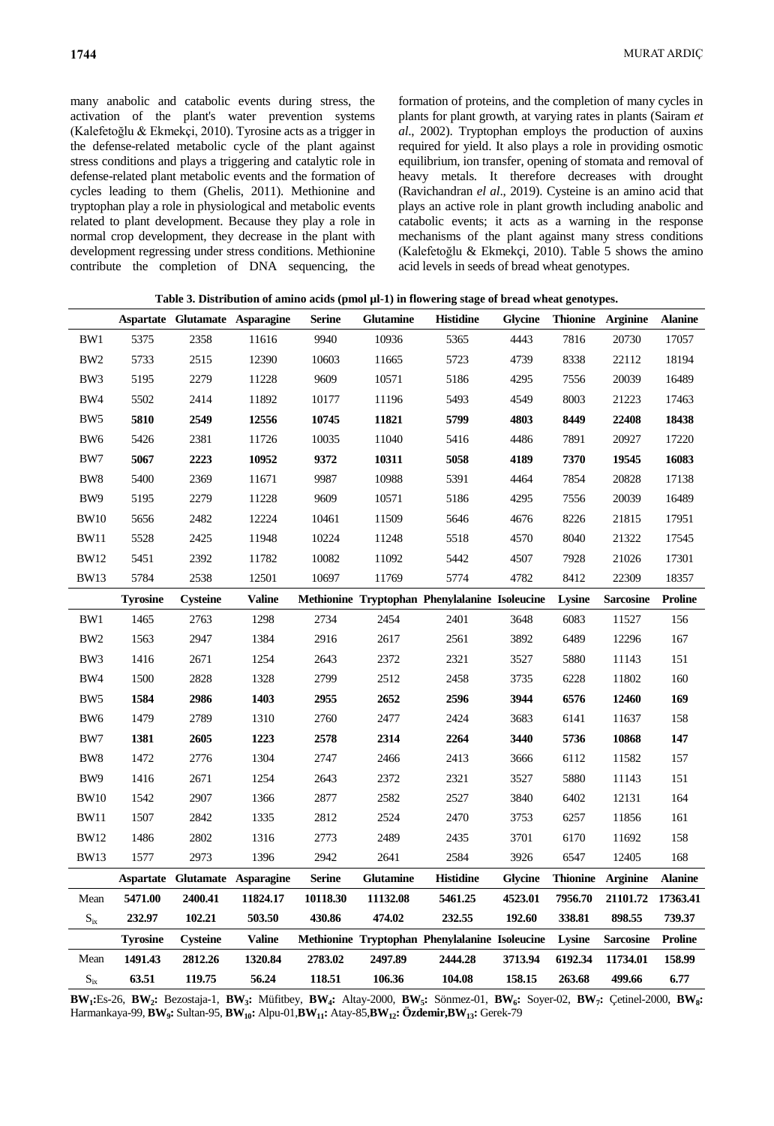many anabolic and catabolic events during stress, the activation of the plant's water prevention systems (Kalefetoğlu & Ekmekçi, 2010). Tyrosine acts as a trigger in the defense-related metabolic cycle of the plant against stress conditions and plays a triggering and catalytic role in defense-related plant metabolic events and the formation of cycles leading to them (Ghelis, 2011). Methionine and tryptophan play a role in physiological and metabolic events related to plant development. Because they play a role in normal crop development, they decrease in the plant with development regressing under stress conditions. Methionine contribute the completion of DNA sequencing, the

formation of proteins, and the completion of many cycles in plants for plant growth, at varying rates in plants (Sairam *et al*., 2002). Tryptophan employs the production of auxins required for yield. It also plays a role in providing osmotic equilibrium, ion transfer, opening of stomata and removal of heavy metals. It therefore decreases with drought (Ravichandran *el al*., 2019). Cysteine is an amino acid that plays an active role in plant growth including anabolic and catabolic events; it acts as a warning in the response mechanisms of the plant against many stress conditions (Kalefetoğlu & Ekmekçi, 2010). Table 5 shows the amino acid levels in seeds of bread wheat genotypes.

|                            |                 |                 | Aspartate Glutamate Asparagine | <b>Serine</b> | <b>Glutamine</b> | <b>Histidine</b>                               | <b>Glycine</b> |         | Thionine Arginine | <b>Alanine</b> |
|----------------------------|-----------------|-----------------|--------------------------------|---------------|------------------|------------------------------------------------|----------------|---------|-------------------|----------------|
| BW1                        | 5375            | 2358            | 11616                          | 9940          | 10936            | 5365                                           | 4443           | 7816    | 20730             | 17057          |
| BW <sub>2</sub>            | 5733            | 2515            | 12390                          | 10603         | 11665            | 5723                                           | 4739           | 8338    | 22112             | 18194          |
| BW3                        | 5195            | 2279            | 11228                          | 9609          | 10571            | 5186                                           | 4295           | 7556    | 20039             | 16489          |
| BW4                        | 5502            | 2414            | 11892                          | 10177         | 11196            | 5493                                           | 4549           | 8003    | 21223             | 17463          |
| BW <sub>5</sub>            | 5810            | 2549            | 12556                          | 10745         | 11821            | 5799                                           | 4803           | 8449    | 22408             | 18438          |
| BW <sub>6</sub>            | 5426            | 2381            | 11726                          | 10035         | 11040            | 5416                                           | 4486           | 7891    | 20927             | 17220          |
| BW7                        | 5067            | 2223            | 10952                          | 9372          | 10311            | 5058                                           | 4189           | 7370    | 19545             | 16083          |
| BW8                        | 5400            | 2369            | 11671                          | 9987          | 10988            | 5391                                           | 4464           | 7854    | 20828             | 17138          |
| BW9                        | 5195            | 2279            | 11228                          | 9609          | 10571            | 5186                                           | 4295           | 7556    | 20039             | 16489          |
| <b>BW10</b>                | 5656            | 2482            | 12224                          | 10461         | 11509            | 5646                                           | 4676           | 8226    | 21815             | 17951          |
| <b>BW11</b>                | 5528            | 2425            | 11948                          | 10224         | 11248            | 5518                                           | 4570           | 8040    | 21322             | 17545          |
| <b>BW12</b>                | 5451            | 2392            | 11782                          | 10082         | 11092            | 5442                                           | 4507           | 7928    | 21026             | 17301          |
| <b>BW13</b>                | 5784            | 2538            | 12501                          | 10697         | 11769            | 5774                                           | 4782           | 8412    | 22309             | 18357          |
|                            | <b>Tyrosine</b> | Cysteine        | <b>Valine</b>                  |               |                  | Methionine Tryptophan Phenylalanine Isoleucine |                | Lysine  | <b>Sarcosine</b>  | <b>Proline</b> |
| BW1                        | 1465            | 2763            | 1298                           | 2734          | 2454             | 2401                                           | 3648           | 6083    | 11527             | 156            |
| BW <sub>2</sub>            | 1563            | 2947            | 1384                           | 2916          | 2617             | 2561                                           | 3892           | 6489    | 12296             | 167            |
| BW3                        | 1416            | 2671            | 1254                           | 2643          | 2372             | 2321                                           | 3527           | 5880    | 11143             | 151            |
| BW4                        | 1500            | 2828            | 1328                           | 2799          | 2512             | 2458                                           | 3735           | 6228    | 11802             | 160            |
| BW <sub>5</sub>            | 1584            | 2986            | 1403                           | 2955          | 2652             | 2596                                           | 3944           | 6576    | 12460             | 169            |
| BW <sub>6</sub>            | 1479            | 2789            | 1310                           | 2760          | 2477             | 2424                                           | 3683           | 6141    | 11637             | 158            |
| BW7                        | 1381            | 2605            | 1223                           | 2578          | 2314             | 2264                                           | 3440           | 5736    | 10868             | 147            |
| BW <sub>8</sub>            | 1472            | 2776            | 1304                           | 2747          | 2466             | 2413                                           | 3666           | 6112    | 11582             | 157            |
| BW <sub>9</sub>            | 1416            | 2671            | 1254                           | 2643          | 2372             | 2321                                           | 3527           | 5880    | 11143             | 151            |
| <b>BW10</b>                | 1542            | 2907            | 1366                           | 2877          | 2582             | 2527                                           | 3840           | 6402    | 12131             | 164            |
| <b>BW11</b>                | 1507            | 2842            | 1335                           | 2812          | 2524             | 2470                                           | 3753           | 6257    | 11856             | 161            |
| <b>BW12</b>                | 1486            | 2802            | 1316                           | 2773          | 2489             | 2435                                           | 3701           | 6170    | 11692             | 158            |
| <b>BW13</b>                | 1577            | 2973            | 1396                           | 2942          | 2641             | 2584                                           | 3926           | 6547    | 12405             | 168            |
|                            |                 |                 | Aspartate Glutamate Asparagine | <b>Serine</b> | <b>Glutamine</b> | <b>Histidine</b>                               | <b>Glycine</b> |         | Thionine Arginine | <b>Alanine</b> |
| Mean                       | 5471.00         | 2400.41         | 11824.17                       | 10118.30      | 11132.08         | 5461.25                                        | 4523.01        | 7956.70 | 21101.72          | 17363.41       |
| $\mathbf{S}_{\mathrm{ix}}$ | 232.97          | 102.21          | 503.50                         | 430.86        | 474.02           | 232.55                                         | 192.60         | 338.81  | 898.55            | 739.37         |
|                            | <b>Tyrosine</b> | <b>Cysteine</b> | <b>Valine</b>                  |               |                  | Methionine Tryptophan Phenylalanine Isoleucine |                | Lysine  | <b>Sarcosine</b>  | <b>Proline</b> |
| Mean                       | 1491.43         | 2812.26         | 1320.84                        | 2783.02       | 2497.89          | 2444.28                                        | 3713.94        | 6192.34 | 11734.01          | 158.99         |
| $\mathbf{S}_{\mathrm{ix}}$ | 63.51           | 119.75          | 56.24                          | 118.51        | 106.36           | 104.08                                         | 158.15         | 263.68  | 499.66            | 6.77           |

 $BW_1:Es-26$ ,  $BW_2: Bezostaja-1$ ,  $BW_3: Mifitbey$ ,  $BW_4: Altay-2000$ ,  $BW_5: Sönmez-01$ ,  $BW_6: Soyer-02$ ,  $BW_7: Çetinel-2000$ ,  $BW_8: Soyer-02$ Harmankaya-99, **BW<sup>9</sup> :** Sultan-95, **BW10:** Alpu-01,**BW11:** Atay-85,**BW12: Özdemir,BW13:** Gerek-79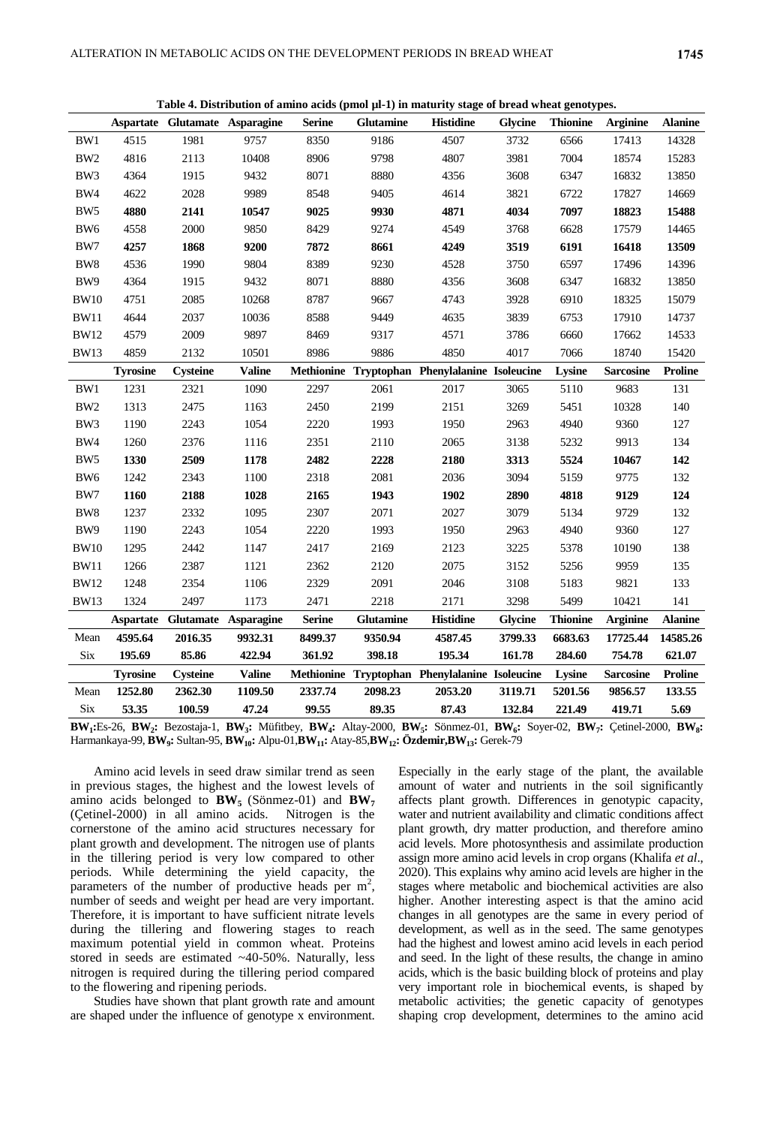|                 | Table 4. Distribution of amino acids (pmol µi-1) in maturity stage of bread wheat genotypes. |                 |                                |               |                  |                                                |                |                 |                  |                |  |  |
|-----------------|----------------------------------------------------------------------------------------------|-----------------|--------------------------------|---------------|------------------|------------------------------------------------|----------------|-----------------|------------------|----------------|--|--|
|                 |                                                                                              |                 | Aspartate Glutamate Asparagine | <b>Serine</b> | <b>Glutamine</b> | <b>Histidine</b>                               | <b>Glycine</b> | <b>Thionine</b> | <b>Arginine</b>  | <b>Alanine</b> |  |  |
| BW1             | 4515                                                                                         | 1981            | 9757                           | 8350          | 9186             | 4507                                           | 3732           | 6566            | 17413            | 14328          |  |  |
| BW <sub>2</sub> | 4816                                                                                         | 2113            | 10408                          | 8906          | 9798             | 4807                                           | 3981           | 7004            | 18574            | 15283          |  |  |
| BW3             | 4364                                                                                         | 1915            | 9432                           | 8071          | 8880             | 4356                                           | 3608           | 6347            | 16832            | 13850          |  |  |
| BW4             | 4622                                                                                         | 2028            | 9989                           | 8548          | 9405             | 4614                                           | 3821           | 6722            | 17827            | 14669          |  |  |
| BW <sub>5</sub> | 4880                                                                                         | 2141            | 10547                          | 9025          | 9930             | 4871                                           | 4034           | 7097            | 18823            | 15488          |  |  |
| BW <sub>6</sub> | 4558                                                                                         | 2000            | 9850                           | 8429          | 9274             | 4549                                           | 3768           | 6628            | 17579            | 14465          |  |  |
| BW7             | 4257                                                                                         | 1868            | 9200                           | 7872          | 8661             | 4249                                           | 3519           | 6191            | 16418            | 13509          |  |  |
| BW <sub>8</sub> | 4536                                                                                         | 1990            | 9804                           | 8389          | 9230             | 4528                                           | 3750           | 6597            | 17496            | 14396          |  |  |
| BW <sub>9</sub> | 4364                                                                                         | 1915            | 9432                           | 8071          | 8880             | 4356                                           | 3608           | 6347            | 16832            | 13850          |  |  |
| <b>BW10</b>     | 4751                                                                                         | 2085            | 10268                          | 8787          | 9667             | 4743                                           | 3928           | 6910            | 18325            | 15079          |  |  |
| <b>BW11</b>     | 4644                                                                                         | 2037            | 10036                          | 8588          | 9449             | 4635                                           | 3839           | 6753            | 17910            | 14737          |  |  |
| <b>BW12</b>     | 4579                                                                                         | 2009            | 9897                           | 8469          | 9317             | 4571                                           | 3786           | 6660            | 17662            | 14533          |  |  |
| <b>BW13</b>     | 4859                                                                                         | 2132            | 10501                          | 8986          | 9886             | 4850                                           | 4017           | 7066            | 18740            | 15420          |  |  |
|                 | <b>Tyrosine</b>                                                                              | <b>Cysteine</b> | <b>Valine</b>                  |               |                  | Methionine Tryptophan Phenylalanine Isoleucine |                | Lysine          | <b>Sarcosine</b> | <b>Proline</b> |  |  |
| BW1             | 1231                                                                                         | 2321            | 1090                           | 2297          | 2061             | 2017                                           | 3065           | 5110            | 9683             | 131            |  |  |
| BW <sub>2</sub> | 1313                                                                                         | 2475            | 1163                           | 2450          | 2199             | 2151                                           | 3269           | 5451            | 10328            | 140            |  |  |
| BW3             | 1190                                                                                         | 2243            | 1054                           | 2220          | 1993             | 1950                                           | 2963           | 4940            | 9360             | 127            |  |  |
| BW4             | 1260                                                                                         | 2376            | 1116                           | 2351          | 2110             | 2065                                           | 3138           | 5232            | 9913             | 134            |  |  |
| BW <sub>5</sub> | 1330                                                                                         | 2509            | 1178                           | 2482          | 2228             | 2180                                           | 3313           | 5524            | 10467            | 142            |  |  |
| BW <sub>6</sub> | 1242                                                                                         | 2343            | 1100                           | 2318          | 2081             | 2036                                           | 3094           | 5159            | 9775             | 132            |  |  |
| BW7             | 1160                                                                                         | 2188            | 1028                           | 2165          | 1943             | 1902                                           | 2890           | 4818            | 9129             | 124            |  |  |
| BW8             | 1237                                                                                         | 2332            | 1095                           | 2307          | 2071             | 2027                                           | 3079           | 5134            | 9729             | 132            |  |  |
| BW9             | 1190                                                                                         | 2243            | 1054                           | 2220          | 1993             | 1950                                           | 2963           | 4940            | 9360             | 127            |  |  |
| <b>BW10</b>     | 1295                                                                                         | 2442            | 1147                           | 2417          | 2169             | 2123                                           | 3225           | 5378            | 10190            | 138            |  |  |
| <b>BW11</b>     | 1266                                                                                         | 2387            | 1121                           | 2362          | 2120             | 2075                                           | 3152           | 5256            | 9959             | 135            |  |  |
| <b>BW12</b>     | 1248                                                                                         | 2354            | 1106                           | 2329          | 2091             | 2046                                           | 3108           | 5183            | 9821             | 133            |  |  |
| <b>BW13</b>     | 1324                                                                                         | 2497            | 1173                           | 2471          | 2218             | 2171                                           | 3298           | 5499            | 10421            | 141            |  |  |
|                 |                                                                                              |                 | Aspartate Glutamate Asparagine | <b>Serine</b> | <b>Glutamine</b> | <b>Histidine</b>                               | <b>Glycine</b> | <b>Thionine</b> | <b>Arginine</b>  | <b>Alanine</b> |  |  |
| Mean            | 4595.64                                                                                      | 2016.35         | 9932.31                        | 8499.37       | 9350.94          | 4587.45                                        | 3799.33        | 6683.63         | 17725.44         | 14585.26       |  |  |

**Table 4. Distribution of amino acids (pmol µl-1) in maturity stage of bread wheat genotypes.**

Six **53.35 100.59 47.24 99.55 89.35 87.43 132.84 221.49 419.71 5.69**  $BW_1:Es-26$ ,  $BW_2: Bezostaja-1$ ,  $BW_3: Mifitbey$ ,  $BW_4: Altay-2000$ ,  $BW_5: Sönmez-01$ ,  $BW_6: Soyer-02$ ,  $BW_7: Çetinel-2000$ ,  $BW_8: Soyer-02$ Harmankaya-99, **BW<sup>9</sup> :** Sultan-95, **BW10:** Alpu-01,**BW11:** Atay-85,**BW12: Özdemir,BW13:** Gerek-79

Six **195.69 85.86 422.94 361.92 398.18 195.34 161.78 284.60 754.78 621.07 Tyrosine Cysteine Valine Methionine Tryptophan Phenylalanine Isoleucine Lysine Sarcosine Proline**

Mean **1252.80 2362.30 1109.50 2337.74 2098.23 2053.20 3119.71 5201.56 9856.57 133.55**

Amino acid levels in seed draw similar trend as seen in previous stages, the highest and the lowest levels of amino acids belonged to  $BW_5$  (Sönmez-01) and  $BW_7$ (Çetinel-2000) in all amino acids. Nitrogen is the cornerstone of the amino acid structures necessary for plant growth and development. The nitrogen use of plants in the tillering period is very low compared to other periods. While determining the yield capacity, the parameters of the number of productive heads per  $m^2$ , number of seeds and weight per head are very important. Therefore, it is important to have sufficient nitrate levels during the tillering and flowering stages to reach maximum potential yield in common wheat. Proteins stored in seeds are estimated ~40-50%. Naturally, less nitrogen is required during the tillering period compared to the flowering and ripening periods.

Studies have shown that plant growth rate and amount are shaped under the influence of genotype x environment.

Especially in the early stage of the plant, the available amount of water and nutrients in the soil significantly affects plant growth. Differences in genotypic capacity, water and nutrient availability and climatic conditions affect plant growth, dry matter production, and therefore amino acid levels. More photosynthesis and assimilate production assign more amino acid levels in crop organs (Khalifa *et al*., 2020). This explains why amino acid levels are higher in the stages where metabolic and biochemical activities are also higher. Another interesting aspect is that the amino acid changes in all genotypes are the same in every period of development, as well as in the seed. The same genotypes had the highest and lowest amino acid levels in each period and seed. In the light of these results, the change in amino acids, which is the basic building block of proteins and play very important role in biochemical events, is shaped by metabolic activities; the genetic capacity of genotypes shaping crop development, determines to the amino acid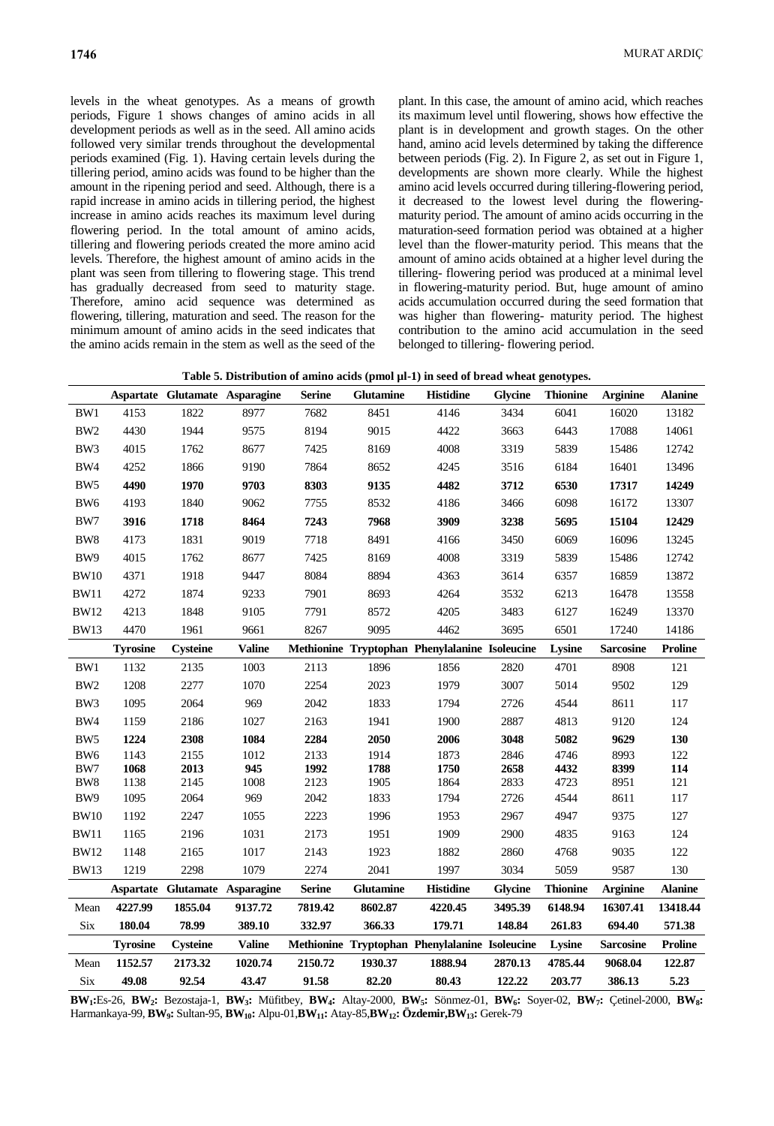levels in the wheat genotypes. As a means of growth periods, Figure 1 shows changes of amino acids in all development periods as well as in the seed. All amino acids followed very similar trends throughout the developmental periods examined (Fig. 1). Having certain levels during the tillering period, amino acids was found to be higher than the amount in the ripening period and seed. Although, there is a rapid increase in amino acids in tillering period, the highest increase in amino acids reaches its maximum level during flowering period. In the total amount of amino acids, tillering and flowering periods created the more amino acid levels. Therefore, the highest amount of amino acids in the plant was seen from tillering to flowering stage. This trend has gradually decreased from seed to maturity stage. Therefore, amino acid sequence was determined as flowering, tillering, maturation and seed. The reason for the minimum amount of amino acids in the seed indicates that the amino acids remain in the stem as well as the seed of the

plant. In this case, the amount of amino acid, which reaches its maximum level until flowering, shows how effective the plant is in development and growth stages. On the other hand, amino acid levels determined by taking the difference between periods (Fig. 2). In Figure 2, as set out in Figure 1, developments are shown more clearly. While the highest amino acid levels occurred during tillering-flowering period, it decreased to the lowest level during the floweringmaturity period. The amount of amino acids occurring in the maturation-seed formation period was obtained at a higher level than the flower-maturity period. This means that the amount of amino acids obtained at a higher level during the tillering- flowering period was produced at a minimal level in flowering-maturity period. But, huge amount of amino acids accumulation occurred during the seed formation that was higher than flowering- maturity period. The highest contribution to the amino acid accumulation in the seed belonged to tillering- flowering period.

|                        |                 | Aspartate Glutamate Asparagine |               | <b>Serine</b> | <b>Glutamine</b> | <b>Histidine</b>                               | <b>Glycine</b> | <b>Thionine</b> | <b>Arginine</b>  | <b>Alanine</b> |
|------------------------|-----------------|--------------------------------|---------------|---------------|------------------|------------------------------------------------|----------------|-----------------|------------------|----------------|
| BW1                    | 4153            | 1822                           | 8977          | 7682          | 8451             | 4146                                           | 3434           | 6041            | 16020            | 13182          |
| BW <sub>2</sub>        | 4430            | 1944                           | 9575          | 8194          | 9015             | 4422                                           | 3663           | 6443            | 17088            | 14061          |
| BW3                    | 4015            | 1762                           | 8677          | 7425          | 8169             | 4008                                           | 3319           | 5839            | 15486            | 12742          |
| BW4                    | 4252            | 1866                           | 9190          | 7864          | 8652             | 4245                                           | 3516           | 6184            | 16401            | 13496          |
| BW <sub>5</sub>        | 4490            | 1970                           | 9703          | 8303          | 9135             | 4482                                           | 3712           | 6530            | 17317            | 14249          |
| BW <sub>6</sub>        | 4193            | 1840                           | 9062          | 7755          | 8532             | 4186                                           | 3466           | 6098            | 16172            | 13307          |
| BW7                    | 3916            | 1718                           | 8464          | 7243          | 7968             | 3909                                           | 3238           | 5695            | 15104            | 12429          |
| BW <sub>8</sub>        | 4173            | 1831                           | 9019          | 7718          | 8491             | 4166                                           | 3450           | 6069            | 16096            | 13245          |
| BW9                    | 4015            | 1762                           | 8677          | 7425          | 8169             | 4008                                           | 3319           | 5839            | 15486            | 12742          |
| <b>BW10</b>            | 4371            | 1918                           | 9447          | 8084          | 8894             | 4363                                           | 3614           | 6357            | 16859            | 13872          |
| <b>BW11</b>            | 4272            | 1874                           | 9233          | 7901          | 8693             | 4264                                           | 3532           | 6213            | 16478            | 13558          |
| <b>BW12</b>            | 4213            | 1848                           | 9105          | 7791          | 8572             | 4205                                           | 3483           | 6127            | 16249            | 13370          |
| <b>BW13</b>            | 4470            | 1961                           | 9661          | 8267          | 9095             | 4462                                           | 3695           | 6501            | 17240            | 14186          |
|                        | <b>Tyrosine</b> | <b>Cysteine</b>                | <b>Valine</b> |               |                  | Methionine Tryptophan Phenylalanine Isoleucine |                | Lysine          | <b>Sarcosine</b> | <b>Proline</b> |
| BW1                    | 1132            | 2135                           | 1003          | 2113          | 1896             | 1856                                           | 2820           | 4701            | 8908             | 121            |
| BW <sub>2</sub>        | 1208            | 2277                           | 1070          | 2254          | 2023             | 1979                                           | 3007           | 5014            | 9502             | 129            |
| BW3                    | 1095            | 2064                           | 969           | 2042          | 1833             | 1794                                           | 2726           | 4544            | 8611             | 117            |
| BW4                    | 1159            | 2186                           | 1027          | 2163          | 1941             | 1900                                           | 2887           | 4813            | 9120             | 124            |
| BW <sub>5</sub>        | 1224            | 2308                           | 1084          | 2284          | 2050             | 2006                                           | 3048           | 5082            | 9629             | 130            |
| BW <sub>6</sub>        | 1143            | 2155                           | 1012          | 2133          | 1914             | 1873                                           | 2846           | 4746            | 8993             | 122            |
| BW7<br>BW <sub>8</sub> | 1068<br>1138    | 2013<br>2145                   | 945<br>1008   | 1992<br>2123  | 1788<br>1905     | 1750<br>1864                                   | 2658<br>2833   | 4432<br>4723    | 8399<br>8951     | 114<br>121     |
| BW9                    | 1095            | 2064                           | 969           | 2042          | 1833             | 1794                                           | 2726           | 4544            | 8611             | 117            |
| <b>BW10</b>            | 1192            | 2247                           | 1055          | 2223          | 1996             | 1953                                           | 2967           | 4947            | 9375             | 127            |
| <b>BW11</b>            | 1165            | 2196                           | 1031          | 2173          | 1951             | 1909                                           | 2900           | 4835            | 9163             | 124            |
| <b>BW12</b>            | 1148            | 2165                           | 1017          | 2143          | 1923             | 1882                                           | 2860           | 4768            | 9035             | 122            |
| <b>BW13</b>            | 1219            | 2298                           | 1079          | 2274          | 2041             | 1997                                           | 3034           | 5059            | 9587             | 130            |
|                        |                 | Aspartate Glutamate Asparagine |               | <b>Serine</b> | <b>Glutamine</b> | <b>Histidine</b>                               | <b>Glycine</b> | <b>Thionine</b> | <b>Arginine</b>  | <b>Alanine</b> |
| Mean                   | 4227.99         | 1855.04                        | 9137.72       | 7819.42       | 8602.87          | 4220.45                                        | 3495.39        | 6148.94         | 16307.41         | 13418.44       |
| Six                    | 180.04          | 78.99                          | 389.10        | 332.97        | 366.33           | 179.71                                         | 148.84         | 261.83          | 694.40           | 571.38         |
|                        | <b>Tyrosine</b> | <b>Cysteine</b>                | <b>Valine</b> |               |                  | Methionine Tryptophan Phenylalanine Isoleucine |                | Lysine          | <b>Sarcosine</b> | <b>Proline</b> |
| Mean                   | 1152.57         | 2173.32                        | 1020.74       | 2150.72       | 1930.37          | 1888.94                                        | 2870.13        | 4785.44         | 9068.04          | 122.87         |
| Six                    | 49.08           | 92.54                          | 43.47         | 91.58         | 82.20            | 80.43                                          | 122.22         | 203.77          | 386.13           | 5.23           |

 $BW_1:Es-26$ ,  $BW_2: Bezostaja-1$ ,  $BW_3: Mifitbey$ ,  $BW_4: Altay-2000$ ,  $BW_5: Sönmez-01$ ,  $BW_6: Soyer-02$ ,  $BW_7: Çetinel-2000$ ,  $BW_8: Soyer-02$ Harmankaya-99, **BW<sup>9</sup> :** Sultan-95, **BW10:** Alpu-01,**BW11:** Atay-85,**BW12: Özdemir,BW13:** Gerek-79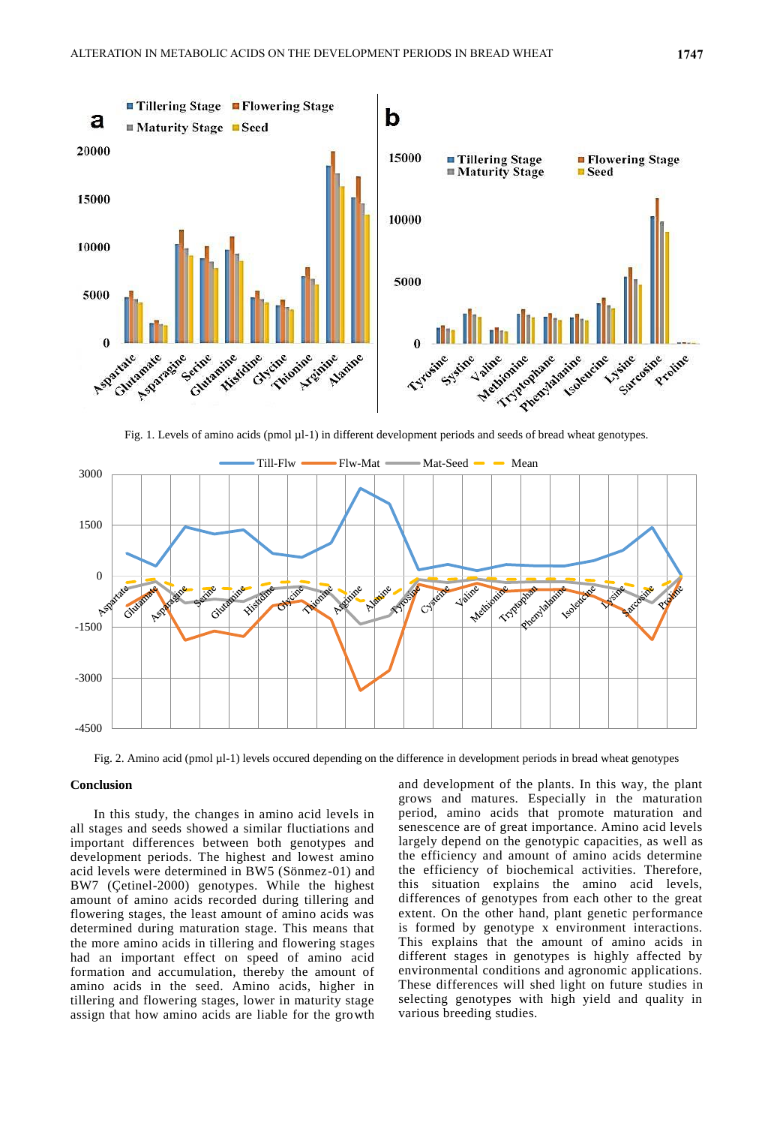

Fig. 1. Levels of amino acids (pmol µl-1) in different development periods and seeds of bread wheat genotypes.



Fig. 2. Amino acid (pmol µl-1) levels occured depending on the difference in development periods in bread wheat genotypes

## **Conclusion**

In this study, the changes in amino acid levels in all stages and seeds showed a similar fluctiations and important differences between both genotypes and development periods. The highest and lowest amino acid levels were determined in BW5 (Sönmez-01) and BW7 (Çetinel-2000) genotypes. While the highest amount of amino acids recorded during tillering and flowering stages, the least amount of amino acids was determined during maturation stage. This means that the more amino acids in tillering and flowering stages had an important effect on speed of amino acid formation and accumulation, thereby the amount of amino acids in the seed. Amino acids, higher in tillering and flowering stages, lower in maturity stage assign that how amino acids are liable for the growth

and development of the plants. In this way, the plant grows and matures. Especially in the maturation period, amino acids that promote maturation and senescence are of great importance. Amino acid levels largely depend on the genotypic capacities, as well as the efficiency and amount of amino acids determine the efficiency of biochemical activities. Therefore, this situation explains the amino acid levels, differences of genotypes from each other to the great extent. On the other hand, plant genetic performance is formed by genotype x environment interactions. This explains that the amount of amino acids in different stages in genotypes is highly affected by environmental conditions and agronomic applications. These differences will shed light on future studies in selecting genotypes with high yield and quality in various breeding studies.